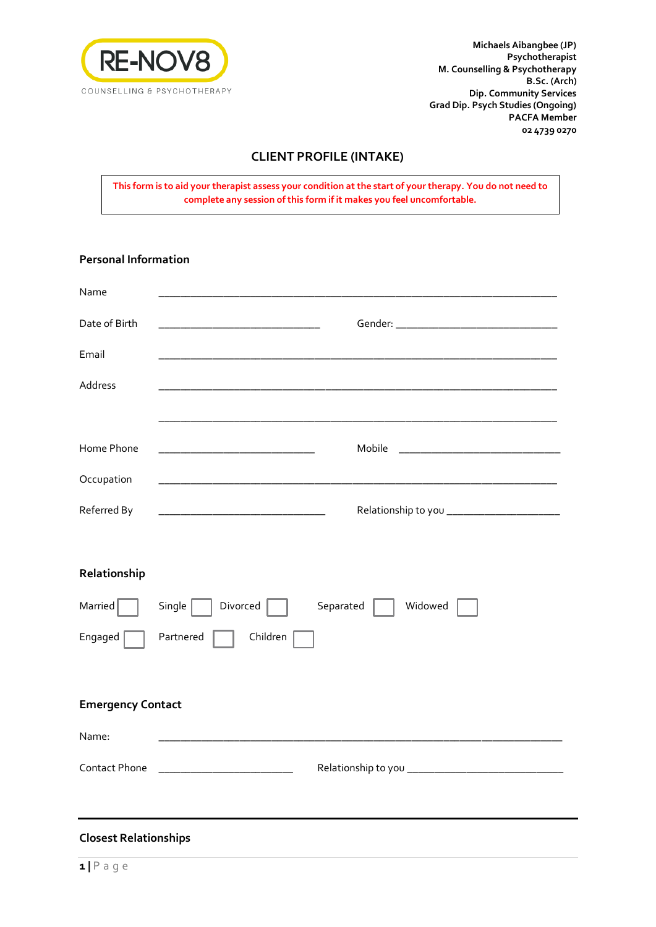

**Michaels Aibangbee (JP) Psychotherapist M. Counselling & Psychotherapy B.Sc. (Arch) Dip. Community Services Grad Dip. Psych Studies (Ongoing) PACFA Member 02 4739 0270**

## **CLIENT PROFILE (INTAKE)**

**This form is to aid your therapist assess your condition at the start of your therapy. You do not need to complete any session of this form if it makes you feel uncomfortable.**

| <b>Personal Information</b>  |                                                                                           |
|------------------------------|-------------------------------------------------------------------------------------------|
| Name                         |                                                                                           |
| Date of Birth                | the control of the control of the control of the control of the control of the control of |
| Email                        |                                                                                           |
| Address                      |                                                                                           |
| Home Phone                   | Mobile                                                                                    |
| Occupation                   |                                                                                           |
| Referred By                  |                                                                                           |
| Relationship                 |                                                                                           |
| Married                      | Single  <br>Divorced<br>Separated<br>Widowed                                              |
| Engaged                      | Partnered<br>Children                                                                     |
| <b>Emergency Contact</b>     |                                                                                           |
| Name:                        |                                                                                           |
| Contact Phone                |                                                                                           |
|                              |                                                                                           |
| <b>Closest Relationships</b> |                                                                                           |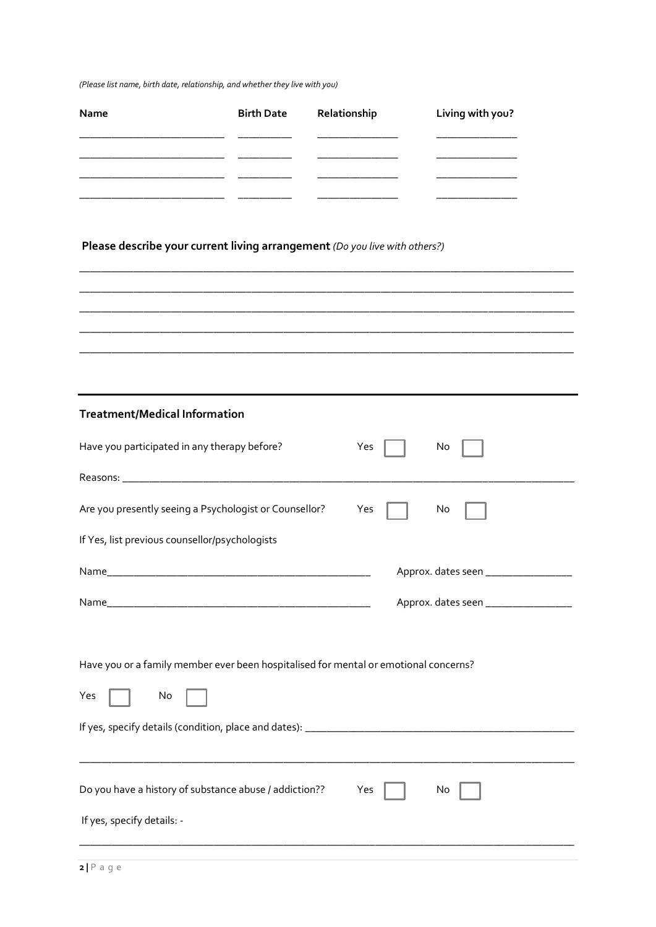*(Please list name, birth date, relationship, and whether they live with you)* 

| Name | <b>Birth Date</b> Relationship | Living with you? |
|------|--------------------------------|------------------|
|      |                                |                  |
|      |                                |                  |
|      |                                |                  |
|      |                                |                  |

**\_\_\_\_\_\_\_\_\_\_\_\_\_\_\_\_\_\_\_\_\_\_\_\_\_\_\_\_\_\_\_\_\_\_\_\_\_\_\_\_\_\_\_\_\_\_\_\_\_\_\_\_\_\_\_\_\_\_\_\_\_\_\_\_\_\_\_\_\_\_\_\_\_\_\_\_\_\_\_\_\_\_\_\_\_\_\_\_\_\_\_\_ \_\_\_\_\_\_\_\_\_\_\_\_\_\_\_\_\_\_\_\_\_\_\_\_\_\_\_\_\_\_\_\_\_\_\_\_\_\_\_\_\_\_\_\_\_\_\_\_\_\_\_\_\_\_\_\_\_\_\_\_\_\_\_\_\_\_\_\_\_\_\_\_\_\_\_\_\_\_\_\_\_\_\_\_\_\_\_\_\_\_\_\_ \_\_\_\_\_\_\_\_\_\_\_\_\_\_\_\_\_\_\_\_\_\_\_\_\_\_\_\_\_\_\_\_\_\_\_\_\_\_\_\_\_\_\_\_\_\_\_\_\_\_\_\_\_\_\_\_\_\_\_\_\_\_\_\_\_\_\_\_\_\_\_\_\_\_\_\_\_\_\_\_\_\_\_\_\_\_\_\_\_\_\_\_ \_\_\_\_\_\_\_\_\_\_\_\_\_\_\_\_\_\_\_\_\_\_\_\_\_\_\_\_\_\_\_\_\_\_\_\_\_\_\_\_\_\_\_\_\_\_\_\_\_\_\_\_\_\_\_\_\_\_\_\_\_\_\_\_\_\_\_\_\_\_\_\_\_\_\_\_\_\_\_\_\_\_\_\_\_\_\_\_\_\_\_\_ \_\_\_\_\_\_\_\_\_\_\_\_\_\_\_\_\_\_\_\_\_\_\_\_\_\_\_\_\_\_\_\_\_\_\_\_\_\_\_\_\_\_\_\_\_\_\_\_\_\_\_\_\_\_\_\_\_\_\_\_\_\_\_\_\_\_\_\_\_\_\_\_\_\_\_\_\_\_\_\_\_\_\_\_\_\_\_\_\_\_\_\_**

## **Please describe your current living arrangement** *(Do you live with others?)*

| Have you participated in any therapy before?                                                      | Yes<br>No                            |
|---------------------------------------------------------------------------------------------------|--------------------------------------|
|                                                                                                   |                                      |
| Are you presently seeing a Psychologist or Counsellor?                                            | Yes<br>No                            |
| If Yes, list previous counsellor/psychologists                                                    |                                      |
|                                                                                                   | Approx. dates seen ______________    |
|                                                                                                   | Approx. dates seen _________________ |
| Have you or a family member ever been hospitalised for mental or emotional concerns?<br>Yes<br>No |                                      |
|                                                                                                   |                                      |
| Do you have a history of substance abuse / addiction??<br>If yes, specify details: -              | Yes<br>No                            |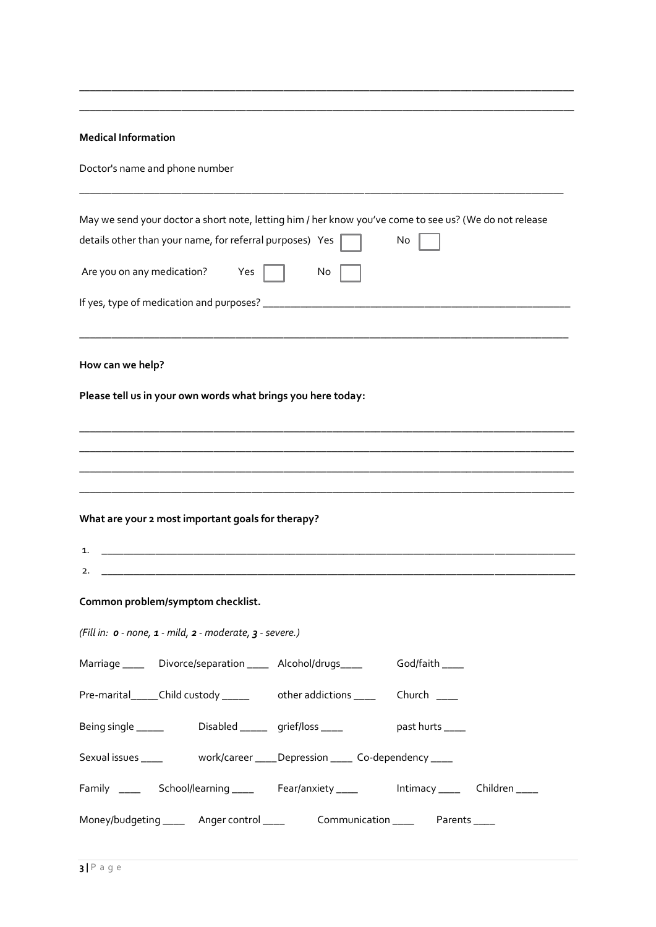| <b>Medical Information</b> |  |
|----------------------------|--|
|                            |  |

Doctor's name and phone number

|                                   | details other than your name, for referral purposes) Yes            | May we send your doctor a short note, letting him / her know you've come to see us? (We do not release | No               |  |
|-----------------------------------|---------------------------------------------------------------------|--------------------------------------------------------------------------------------------------------|------------------|--|
| Are you on any medication? Yes    |                                                                     | No                                                                                                     |                  |  |
|                                   |                                                                     |                                                                                                        |                  |  |
| How can we help?                  |                                                                     |                                                                                                        |                  |  |
|                                   |                                                                     | Please tell us in your own words what brings you here today:                                           |                  |  |
|                                   |                                                                     |                                                                                                        |                  |  |
|                                   |                                                                     |                                                                                                        |                  |  |
| 1.<br>2.                          | What are your 2 most important goals for therapy?                   |                                                                                                        |                  |  |
| Common problem/symptom checklist. |                                                                     |                                                                                                        |                  |  |
|                                   | (Fill in: o - none, 1 - mild, 2 - moderate, 3 - severe.)            |                                                                                                        |                  |  |
|                                   |                                                                     | Marriage ______ Divorce/separation _____ Alcohol/drugs_____                                            | God/faith ____   |  |
|                                   |                                                                     | Pre-marital_____Child custody ______ other addictions _____ Church ____                                |                  |  |
|                                   | Being single __________________Disabled _________ grief/loss ______ |                                                                                                        | past hurts _____ |  |
|                                   |                                                                     |                                                                                                        |                  |  |
|                                   |                                                                     | Family ______ School/learning _____ Fear/anxiety _____ Intimacy ____ Children ____                     |                  |  |
|                                   |                                                                     | Money/budgeting ______ Anger control ______ Communication _____ Parents _____                          |                  |  |

\_\_\_\_\_\_\_\_\_\_\_\_\_\_\_\_\_\_\_\_\_\_\_\_\_\_\_\_\_\_\_\_\_\_\_\_\_\_\_\_\_\_\_\_\_\_\_\_\_\_\_\_\_\_\_\_\_\_\_\_\_\_\_\_\_\_\_\_\_\_\_\_\_\_\_\_\_\_\_\_\_\_\_\_\_\_\_\_\_\_\_\_ \_\_\_\_\_\_\_\_\_\_\_\_\_\_\_\_\_\_\_\_\_\_\_\_\_\_\_\_\_\_\_\_\_\_\_\_\_\_\_\_\_\_\_\_\_\_\_\_\_\_\_\_\_\_\_\_\_\_\_\_\_\_\_\_\_\_\_\_\_\_\_\_\_\_\_\_\_\_\_\_\_\_\_\_\_\_\_\_\_\_\_\_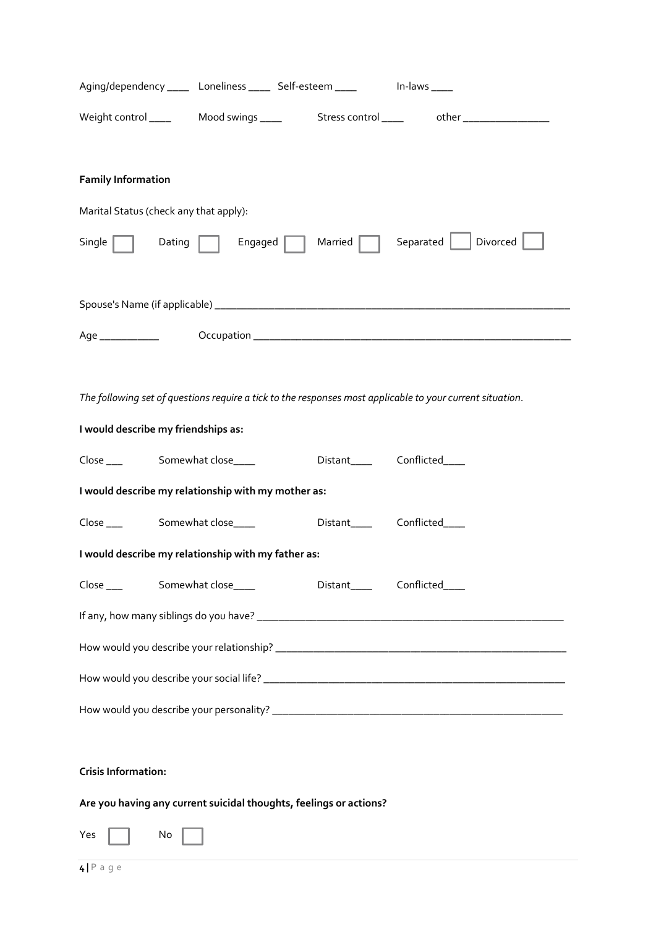|                                                                    |         | Aging/dependency _____ Loneliness _____ Self-esteem _____      In-laws ____ |                                                                                                           |
|--------------------------------------------------------------------|---------|-----------------------------------------------------------------------------|-----------------------------------------------------------------------------------------------------------|
|                                                                    |         |                                                                             | Weight control ______  Mood swings _____   Stress control _____   other _______________                   |
| <b>Family Information</b>                                          |         |                                                                             |                                                                                                           |
| Marital Status (check any that apply):                             |         |                                                                             |                                                                                                           |
| Single $\ $<br>Dating                                              | Engaged | Married                                                                     | Separated     Divorced                                                                                    |
|                                                                    |         |                                                                             |                                                                                                           |
|                                                                    |         |                                                                             |                                                                                                           |
|                                                                    |         |                                                                             |                                                                                                           |
|                                                                    |         |                                                                             | The following set of questions require a tick to the responses most applicable to your current situation. |
| I would describe my friendships as:                                |         |                                                                             |                                                                                                           |
| Close ____ Somewhat close____                                      |         | Distant_____________Conflicted______                                        |                                                                                                           |
| I would describe my relationship with my mother as:                |         |                                                                             |                                                                                                           |
| Close ____ Somewhat close____                                      |         | Distant______________Conflicted______                                       |                                                                                                           |
| I would describe my relationship with my father as:                |         |                                                                             |                                                                                                           |
| Close ____ Somewhat close____                                      |         | Distant_____________Conflicted______                                        |                                                                                                           |
|                                                                    |         |                                                                             |                                                                                                           |
|                                                                    |         |                                                                             |                                                                                                           |
|                                                                    |         |                                                                             |                                                                                                           |
|                                                                    |         |                                                                             |                                                                                                           |
| <b>Crisis Information:</b>                                         |         |                                                                             |                                                                                                           |
| Are you having any current suicidal thoughts, feelings or actions? |         |                                                                             |                                                                                                           |

 $Yes \fbox{No}$